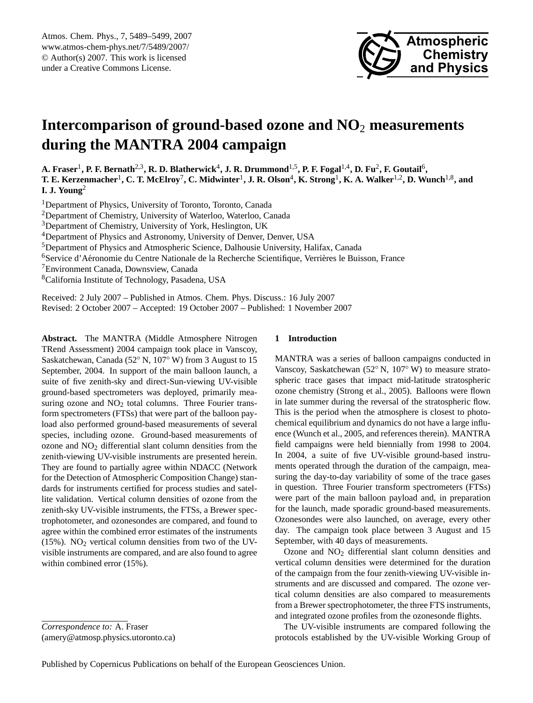

# <span id="page-0-0"></span>**Intercomparison of ground-based ozone and NO**<sup>2</sup> **measurements during the MANTRA 2004 campaign**

**A. Fraser**<sup>1</sup> **, P. F. Bernath**2,3**, R. D. Blatherwick**<sup>4</sup> **, J. R. Drummond**1,5**, P. F. Fogal**1,4**, D. Fu**<sup>2</sup> **, F. Goutail**<sup>6</sup> **, T. E. Kerzenmacher**<sup>1</sup> **, C. T. McElroy**<sup>7</sup> **, C. Midwinter**<sup>1</sup> **, J. R. Olson**<sup>4</sup> **, K. Strong**<sup>1</sup> **, K. A. Walker**1,2**, D. Wunch**1,8**, and I. J. Young**<sup>2</sup>

<sup>1</sup>Department of Physics, University of Toronto, Toronto, Canada

<sup>2</sup>Department of Chemistry, University of Waterloo, Waterloo, Canada

<sup>3</sup>Department of Chemistry, University of York, Heslington, UK

<sup>4</sup>Department of Physics and Astronomy, University of Denver, Denver, USA

<sup>5</sup>Department of Physics and Atmospheric Science, Dalhousie University, Halifax, Canada

<sup>6</sup>Service d'Aéronomie du Centre Nationale de la Recherche Scientifique, Verrières le Buisson, France

<sup>7</sup>Environment Canada, Downsview, Canada

<sup>8</sup>California Institute of Technology, Pasadena, USA

Received: 2 July 2007 – Published in Atmos. Chem. Phys. Discuss.: 16 July 2007 Revised: 2 October 2007 – Accepted: 19 October 2007 – Published: 1 November 2007

**Abstract.** The MANTRA (Middle Atmosphere Nitrogen TRend Assessment) 2004 campaign took place in Vanscoy, Saskatchewan, Canada (52◦ N, 107◦ W) from 3 August to 15 September, 2004. In support of the main balloon launch, a suite of five zenith-sky and direct-Sun-viewing UV-visible ground-based spectrometers was deployed, primarily measuring ozone and  $NO<sub>2</sub>$  total columns. Three Fourier transform spectrometers (FTSs) that were part of the balloon payload also performed ground-based measurements of several species, including ozone. Ground-based measurements of ozone and  $NO<sub>2</sub>$  differential slant column densities from the zenith-viewing UV-visible instruments are presented herein. They are found to partially agree within NDACC (Network for the Detection of Atmospheric Composition Change) standards for instruments certified for process studies and satellite validation. Vertical column densities of ozone from the zenith-sky UV-visible instruments, the FTSs, a Brewer spectrophotometer, and ozonesondes are compared, and found to agree within the combined error estimates of the instruments (15%).  $NO<sub>2</sub>$  vertical column densities from two of the UVvisible instruments are compared, and are also found to agree within combined error (15%).

*Correspondence to:* A. Fraser (amery@atmosp.physics.utoronto.ca)

# **1 Introduction**

MANTRA was a series of balloon campaigns conducted in Vanscoy, Saskatchewan (52◦ N, 107◦ W) to measure stratospheric trace gases that impact mid-latitude stratospheric ozone chemistry [\(Strong et al.,](#page-10-0) [2005\)](#page-10-0). Balloons were flown in late summer during the reversal of the stratospheric flow. This is the period when the atmosphere is closest to photochemical equilibrium and dynamics do not have a large influence [\(Wunch et al.,](#page-10-1) [2005,](#page-10-1) and references therein). MANTRA field campaigns were held biennially from 1998 to 2004. In 2004, a suite of five UV-visible ground-based instruments operated through the duration of the campaign, measuring the day-to-day variability of some of the trace gases in question. Three Fourier transform spectrometers (FTSs) were part of the main balloon payload and, in preparation for the launch, made sporadic ground-based measurements. Ozonesondes were also launched, on average, every other day. The campaign took place between 3 August and 15 September, with 40 days of measurements.

Ozone and NO<sup>2</sup> differential slant column densities and vertical column densities were determined for the duration of the campaign from the four zenith-viewing UV-visible instruments and are discussed and compared. The ozone vertical column densities are also compared to measurements from a Brewer spectrophotometer, the three FTS instruments, and integrated ozone profiles from the ozonesonde flights.

The UV-visible instruments are compared following the protocols established by the UV-visible Working Group of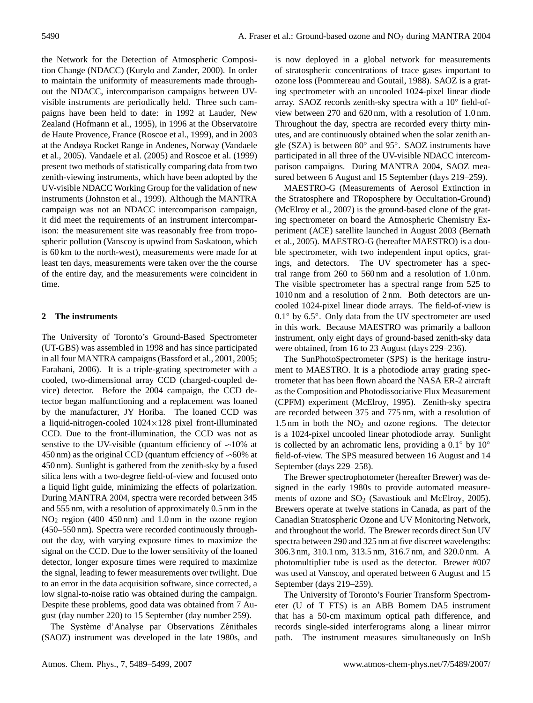the Network for the Detection of Atmospheric Composition Change (NDACC) [\(Kurylo and Zander,](#page-10-2) [2000\)](#page-10-2). In order to maintain the uniformity of measurements made throughout the NDACC, intercomparison campaigns between UVvisible instruments are periodically held. Three such campaigns have been held to date: in 1992 at Lauder, New Zealand [\(Hofmann et al.,](#page-9-0) [1995\)](#page-9-0), in 1996 at the Observatoire de Haute Provence, France [\(Roscoe et al.,](#page-10-3) [1999\)](#page-10-3), and in 2003 at the Andøya Rocket Range in Andenes, Norway [\(Vandaele](#page-10-4) [et al.,](#page-10-4) [2005\)](#page-10-4). [Vandaele et al.](#page-10-4) [\(2005\)](#page-10-4) and [Roscoe et al.](#page-10-3) [\(1999\)](#page-10-3) present two methods of statistically comparing data from two zenith-viewing instruments, which have been adopted by the UV-visible NDACC Working Group for the validation of new instruments [\(Johnston et al.,](#page-9-1) [1999\)](#page-9-1). Although the MANTRA campaign was not an NDACC intercomparison campaign, it did meet the requirements of an instrument intercomparison: the measurement site was reasonably free from tropospheric pollution (Vanscoy is upwind from Saskatoon, which is 60 km to the north-west), measurements were made for at least ten days, measurements were taken over the the course of the entire day, and the measurements were coincident in time.

# <span id="page-1-0"></span>**2 The instruments**

The University of Toronto's Ground-Based Spectrometer (UT-GBS) was assembled in 1998 and has since participated in all four MANTRA campaigns [\(Bassford et al.,](#page-9-2) [2001,](#page-9-2) [2005;](#page-9-3) [Farahani,](#page-9-4) [2006\)](#page-9-4). It is a triple-grating spectrometer with a cooled, two-dimensional array CCD (charged-coupled device) detector. Before the 2004 campaign, the CCD detector began malfunctioning and a replacement was loaned by the manufacturer, JY Horiba. The loaned CCD was a liquid-nitrogen-cooled 1024×128 pixel front-illuminated CCD. Due to the front-illumination, the CCD was not as senstive to the UV-visible (quantum efficiency of  $\sim$ 10% at 450 nm) as the original CCD (quantum effciency of  $\sim$  60% at 450 nm). Sunlight is gathered from the zenith-sky by a fused silica lens with a two-degree field-of-view and focused onto a liquid light guide, minimizing the effects of polarization. During MANTRA 2004, spectra were recorded between 345 and 555 nm, with a resolution of approximately 0.5 nm in the NO<sup>2</sup> region (400–450 nm) and 1.0 nm in the ozone region (450–550 nm). Spectra were recorded continuously throughout the day, with varying exposure times to maximize the signal on the CCD. Due to the lower sensitivity of the loaned detector, longer exposure times were required to maximize the signal, leading to fewer measurements over twilight. Due to an error in the data acquisition software, since corrected, a low signal-to-noise ratio was obtained during the campaign. Despite these problems, good data was obtained from 7 August (day number 220) to 15 September (day number 259).

The Système d'Analyse par Observations Zénithales (SAOZ) instrument was developed in the late 1980s, and is now deployed in a global network for measurements of stratospheric concentrations of trace gases important to ozone loss [\(Pommereau and Goutail,](#page-10-5) [1988\)](#page-10-5). SAOZ is a grating spectrometer with an uncooled 1024-pixel linear diode array. SAOZ records zenith-sky spectra with a 10◦ field-ofview between 270 and 620 nm, with a resolution of 1.0 nm. Throughout the day, spectra are recorded every thirty minutes, and are continuously obtained when the solar zenith angle (SZA) is between 80° and 95°. SAOZ instruments have participated in all three of the UV-visible NDACC intercomparison campaigns. During MANTRA 2004, SAOZ measured between 6 August and 15 September (days 219–259).

MAESTRO-G (Measurements of Aerosol Extinction in the Stratosphere and TRoposphere by Occultation-Ground) [\(McElroy et al.,](#page-10-6) [2007\)](#page-10-6) is the ground-based clone of the grating spectrometer on board the Atmospheric Chemistry Experiment (ACE) satellite launched in August 2003 [\(Bernath](#page-9-5) [et al.,](#page-9-5) [2005\)](#page-9-5). MAESTRO-G (hereafter MAESTRO) is a double spectrometer, with two independent input optics, gratings, and detectors. The UV spectrometer has a spectral range from 260 to 560 nm and a resolution of 1.0 nm. The visible spectrometer has a spectral range from 525 to 1010 nm and a resolution of 2 nm. Both detectors are uncooled 1024-pixel linear diode arrays. The field-of-view is 0.1◦ by 6.5◦ . Only data from the UV spectrometer are used in this work. Because MAESTRO was primarily a balloon instrument, only eight days of ground-based zenith-sky data were obtained, from 16 to 23 August (days 229–236).

The SunPhotoSpectrometer (SPS) is the heritage instrument to MAESTRO. It is a photodiode array grating spectrometer that has been flown aboard the NASA ER-2 aircraft as the Composition and Photodissociative Flux Measurement (CPFM) experiment [\(McElroy,](#page-10-7) [1995\)](#page-10-7). Zenith-sky spectra are recorded between 375 and 775 nm, with a resolution of 1.5 nm in both the  $NO<sub>2</sub>$  and ozone regions. The detector is a 1024-pixel uncooled linear photodiode array. Sunlight is collected by an achromatic lens, providing a  $0.1°$  by  $10°$ field-of-view. The SPS measured between 16 August and 14 September (days 229–258).

The Brewer spectrophotometer (hereafter Brewer) was designed in the early 1980s to provide automated measurements of ozone and  $SO_2$  [\(Savastiouk and McElroy,](#page-10-8) [2005\)](#page-10-8). Brewers operate at twelve stations in Canada, as part of the Canadian Stratospheric Ozone and UV Monitoring Network, and throughout the world. The Brewer records direct Sun UV spectra between 290 and 325 nm at five discreet wavelengths: 306.3 nm, 310.1 nm, 313.5 nm, 316.7 nm, and 320.0 nm. A photomultiplier tube is used as the detector. Brewer #007 was used at Vanscoy, and operated between 6 August and 15 September (days 219–259).

The University of Toronto's Fourier Transform Spectrometer (U of T FTS) is an ABB Bomem DA5 instrument that has a 50-cm maximum optical path difference, and records single-sided interferograms along a linear mirror path. The instrument measures simultaneously on InSb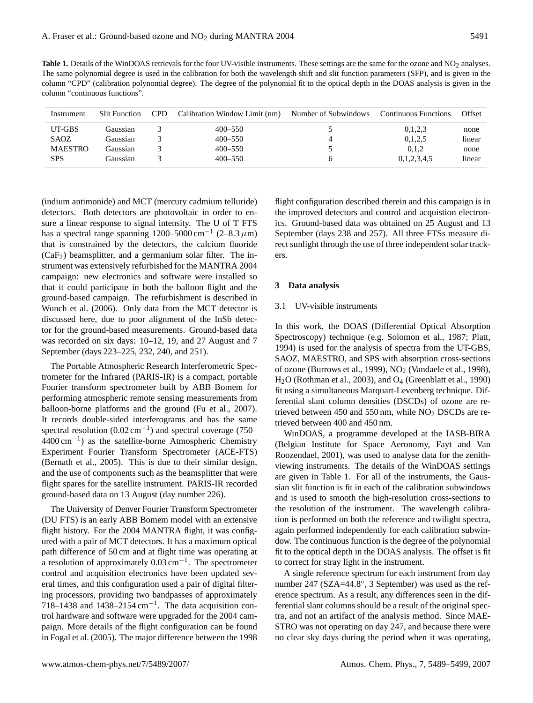Table 1. Details of the WinDOAS retrievals for the four UV-visible instruments. These settings are the same for the ozone and NO<sub>2</sub> analyses. The same polynomial degree is used in the calibration for both the wavelength shift and slit function parameters (SFP), and is given in the column "CPD" (calibration polynomial degree). The degree of the polynomial fit to the optical depth in the DOAS analysis is given in the column "continuous functions".

| Instrument     | <b>Slit Function</b> | <b>CPD</b> | Calibration Window Limit (nm) | Number of Subwindows | <b>Continuous Functions</b> | Offset |
|----------------|----------------------|------------|-------------------------------|----------------------|-----------------------------|--------|
| UT-GBS         | Gaussian             |            | $400 - 550$                   |                      | 0,1,2,3                     | none   |
| <b>SAOZ</b>    | Gaussian             |            | $400 - 550$                   |                      | 0,1,2,5                     | linear |
| <b>MAESTRO</b> | Gaussian             |            | $400 - 550$                   |                      | 0.1.2                       | none   |
| <b>SPS</b>     | Gaussian             |            | $400 - 550$                   | 6                    | 0,1,2,3,4,5                 | linear |

(indium antimonide) and MCT (mercury cadmium telluride) detectors. Both detectors are photovoltaic in order to ensure a linear response to signal intensity. The U of T FTS has a spectral range spanning 1200–5000 cm<sup>-1</sup> (2–8.3  $\mu$ m) that is constrained by the detectors, the calcium fluoride  $(CaF<sub>2</sub>)$  beamsplitter, and a germanium solar filter. The instrument was extensively refurbished for the MANTRA 2004 campaign: new electronics and software were installed so that it could participate in both the balloon flight and the ground-based campaign. The refurbishment is described in [Wunch et al.](#page-10-9) [\(2006\)](#page-10-9). Only data from the MCT detector is discussed here, due to poor alignment of the InSb detector for the ground-based measurements. Ground-based data was recorded on six days: 10–12, 19, and 27 August and 7 September (days 223–225, 232, 240, and 251).

The Portable Atmospheric Research Interferometric Spectrometer for the Infrared (PARIS-IR) is a compact, portable Fourier transform spectrometer built by ABB Bomem for performing atmospheric remote sensing measurements from balloon-borne platforms and the ground [\(Fu et al.,](#page-9-6) [2007\)](#page-9-6). It records double-sided interferograms and has the same spectral resolution (0.02 cm<sup>-1</sup>) and spectral coverage (750– 4400 cm−<sup>1</sup> ) as the satellite-borne Atmospheric Chemistry Experiment Fourier Transform Spectrometer (ACE-FTS) [\(Bernath et al.,](#page-9-5) [2005\)](#page-9-5). This is due to their similar design, and the use of components such as the beamsplitter that were flight spares for the satellite instrument. PARIS-IR recorded ground-based data on 13 August (day number 226).

The University of Denver Fourier Transform Spectrometer (DU FTS) is an early ABB Bomem model with an extensive flight history. For the 2004 MANTRA flight, it was configured with a pair of MCT detectors. It has a maximum optical path difference of 50 cm and at flight time was operating at a resolution of approximately  $0.03 \text{ cm}^{-1}$ . The spectrometer control and acquisition electronics have been updated several times, and this configuration used a pair of digital filtering processors, providing two bandpasses of approximately 718–1438 and 1438–2154 cm−<sup>1</sup> . The data acquisition control hardware and software were upgraded for the 2004 campaign. More details of the flight configuration can be found in [Fogal et al.](#page-9-7) [\(2005\)](#page-9-7). The major difference between the 1998 flight configuration described therein and this campaign is in the improved detectors and control and acquistion electronics. Ground-based data was obtained on 25 August and 13 September (days 238 and 257). All three FTSs measure direct sunlight through the use of three independent solar trackers.

# **3 Data analysis**

#### <span id="page-2-0"></span>3.1 UV-visible instruments

In this work, the DOAS (Differential Optical Absorption Spectroscopy) technique (e.g. [Solomon et al.,](#page-10-10) [1987;](#page-10-10) [Platt,](#page-10-11) [1994\)](#page-10-11) is used for the analysis of spectra from the UT-GBS, SAOZ, MAESTRO, and SPS with absorption cross-sections of ozone [\(Burrows et al.,](#page-9-8) [1999\)](#page-9-8),  $NO<sub>2</sub>$  [\(Vandaele et al.,](#page-10-12) [1998\)](#page-10-12), H<sub>2</sub>O [\(Rothman et al.,](#page-10-13) [2003\)](#page-10-13), and O<sub>4</sub> [\(Greenblatt et al.,](#page-9-9) [1990\)](#page-9-9) fit using a simultaneous Marquart-Levenberg technique. Differential slant column densities (DSCDs) of ozone are retrieved between 450 and 550 nm, while  $NO<sub>2</sub>$  DSCDs are retrieved between 400 and 450 nm.

WinDOAS, a programme developed at the IASB-BIRA (Belgian Institute for Space Aeronomy, [Fayt and Van](#page-9-10) [Roozendael,](#page-9-10) [2001\)](#page-9-10), was used to analyse data for the zenithviewing instruments. The details of the WinDOAS settings are given in Table 1. For all of the instruments, the Gaussian slit function is fit in each of the calibration subwindows and is used to smooth the high-resolution cross-sections to the resolution of the instrument. The wavelength calibration is performed on both the reference and twilight spectra, again performed independently for each calibration subwindow. The continuous function is the degree of the polynomial fit to the optical depth in the DOAS analysis. The offset is fit to correct for stray light in the instrument.

A single reference spectrum for each instrument from day number 247 (SZA=44.8◦ , 3 September) was used as the reference spectrum. As a result, any differences seen in the differential slant columns should be a result of the original spectra, and not an artifact of the analysis method. Since MAE-STRO was not operating on day 247, and because there were no clear sky days during the period when it was operating,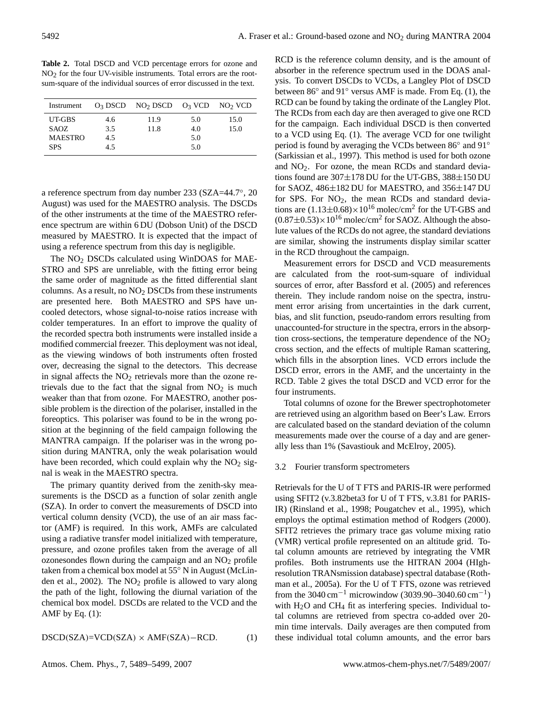**Table 2.** Total DSCD and VCD percentage errors for ozone and NO2 for the four UV-visible instruments. Total errors are the rootsum-square of the individual sources of error discussed in the text.

| Instrument     |     | $O_3$ DSCD NO <sub>2</sub> DSCD $O_3$ VCD NO <sub>2</sub> VCD |     |      |
|----------------|-----|---------------------------------------------------------------|-----|------|
| UT-GBS         | 4.6 | 11.9                                                          | 5.0 | 15.0 |
| SAOZ.          | 3.5 | 11.8                                                          | 4.0 | 15.0 |
| <b>MAESTRO</b> | 4.5 |                                                               | 5.0 |      |
| <b>SPS</b>     | 4.5 |                                                               | 5.0 |      |

a reference spectrum from day number 233 (SZA=44.7◦ , 20 August) was used for the MAESTRO analysis. The DSCDs of the other instruments at the time of the MAESTRO reference spectrum are within 6 DU (Dobson Unit) of the DSCD measured by MAESTRO. It is expected that the impact of using a reference spectrum from this day is negligible.

The  $NO<sub>2</sub>$  DSCDs calculated using WinDOAS for MAE-STRO and SPS are unreliable, with the fitting error being the same order of magnitude as the fitted differential slant columns. As a result, no  $NO<sub>2</sub>$  DSCDs from these instruments are presented here. Both MAESTRO and SPS have uncooled detectors, whose signal-to-noise ratios increase with colder temperatures. In an effort to improve the quality of the recorded spectra both instruments were installed inside a modified commercial freezer. This deployment was not ideal, as the viewing windows of both instruments often frosted over, decreasing the signal to the detectors. This decrease in signal affects the  $NO<sub>2</sub>$  retrievals more than the ozone retrievals due to the fact that the signal from  $NO<sub>2</sub>$  is much weaker than that from ozone. For MAESTRO, another possible problem is the direction of the polariser, installed in the foreoptics. This polariser was found to be in the wrong position at the beginning of the field campaign following the MANTRA campaign. If the polariser was in the wrong position during MANTRA, only the weak polarisation would have been recorded, which could explain why the  $NO<sub>2</sub>$  signal is weak in the MAESTRO spectra.

The primary quantity derived from the zenith-sky measurements is the DSCD as a function of solar zenith angle (SZA). In order to convert the measurements of DSCD into vertical column density (VCD), the use of an air mass factor (AMF) is required. In this work, AMFs are calculated using a radiative transfer model initialized with temperature, pressure, and ozone profiles taken from the average of all  $ozonesondes$  flown during the campaign and an  $NO<sub>2</sub>$  profile taken from a chemical box model at 55◦ N in August [\(McLin](#page-10-14)[den et al.,](#page-10-14) [2002\)](#page-10-14). The  $NO<sub>2</sub>$  profile is allowed to vary along the path of the light, following the diurnal variation of the chemical box model. DSCDs are related to the VCD and the AMF by Eq.  $(1)$ :

<span id="page-3-0"></span> $DSCD(SZA)=VCD(SZA) \times AMF(SZA)-RCD.$  (1)

RCD is the reference column density, and is the amount of absorber in the reference spectrum used in the DOAS analysis. To convert DSCDs to VCDs, a Langley Plot of DSCD between 86° and 91° versus AMF is made. From Eq. [\(1\)](#page-3-0), the RCD can be found by taking the ordinate of the Langley Plot. The RCDs from each day are then averaged to give one RCD for the campaign. Each individual DSCD is then converted to a VCD using Eq. [\(1\)](#page-3-0). The average VCD for one twilight period is found by averaging the VCDs between 86° and 91° [\(Sarkissian et al.,](#page-10-15) [1997\)](#page-10-15). This method is used for both ozone and  $NO<sub>2</sub>$ . For ozone, the mean RCDs and standard deviations found are  $307\pm178$  DU for the UT-GBS,  $388\pm150$  DU for SAOZ, 486±182 DU for MAESTRO, and 356±147 DU for SPS. For  $NO<sub>2</sub>$ , the mean RCDs and standard deviations are  $(1.13\pm0.68)\times10^{16}$  molec/cm<sup>2</sup> for the UT-GBS and  $(0.87\pm0.53)\times10^{16}$  molec/cm<sup>2</sup> for SAOZ. Although the absolute values of the RCDs do not agree, the standard deviations are similar, showing the instruments display similar scatter in the RCD throughout the campaign.

Measurement errors for DSCD and VCD measurements are calculated from the root-sum-square of individual sources of error, after [Bassford et al.](#page-9-3) [\(2005\)](#page-9-3) and references therein. They include random noise on the spectra, instrument error arising from uncertainties in the dark current, bias, and slit function, pseudo-random errors resulting from unaccounted-for structure in the spectra, errors in the absorption cross-sections, the temperature dependence of the  $NO<sub>2</sub>$ cross section, and the effects of multiple Raman scattering, which fills in the absorption lines. VCD errors include the DSCD error, errors in the AMF, and the uncertainty in the RCD. Table 2 gives the total DSCD and VCD error for the four instruments.

Total columns of ozone for the Brewer spectrophotometer are retrieved using an algorithm based on Beer's Law. Errors are calculated based on the standard deviation of the column measurements made over the course of a day and are generally less than 1% [\(Savastiouk and McElroy,](#page-10-8) [2005\)](#page-10-8).

#### 3.2 Fourier transform spectrometers

Retrievals for the U of T FTS and PARIS-IR were performed using SFIT2 (v.3.82beta3 for U of T FTS, v.3.81 for PARIS-IR) [\(Rinsland et al.,](#page-10-16) [1998;](#page-10-16) [Pougatchev et al.,](#page-10-17) [1995\)](#page-10-17), which employs the optimal estimation method of [Rodgers](#page-10-18) [\(2000\)](#page-10-18). SFIT2 retrieves the primary trace gas volume mixing ratio (VMR) vertical profile represented on an altitude grid. Total column amounts are retrieved by integrating the VMR profiles. Both instruments use the HITRAN 2004 (HIghresolution TRANsmission database) spectral database [\(Roth](#page-10-19)[man et al.,](#page-10-19) [2005a\)](#page-10-19). For the U of T FTS, ozone was retrieved from the 3040 cm<sup>-1</sup> microwindow (3039.90–3040.60 cm<sup>-1</sup>) with  $H_2O$  and  $CH_4$  fit as interfering species. Individual total columns are retrieved from spectra co-added over 20 min time intervals. Daily averages are then computed from these individual total column amounts, and the error bars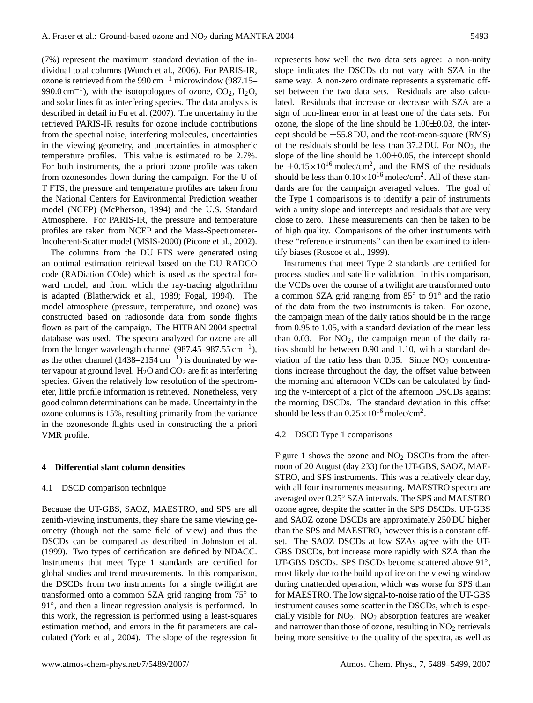(7%) represent the maximum standard deviation of the individual total columns [\(Wunch et al.,](#page-10-9) [2006\)](#page-10-9). For PARIS-IR, ozone is retrieved from the 990 cm<sup> $-1$ </sup> microwindow (987.15–  $990.0 \text{ cm}^{-1}$ ), with the isotopologues of ozone, CO<sub>2</sub>, H<sub>2</sub>O, and solar lines fit as interfering species. The data analysis is described in detail in [Fu et al.](#page-9-6) [\(2007\)](#page-9-6). The uncertainty in the retrieved PARIS-IR results for ozone include contributions from the spectral noise, interfering molecules, uncertainties in the viewing geometry, and uncertainties in atmospheric temperature profiles. This value is estimated to be 2.7%. For both instruments, the a priori ozone profile was taken from ozonesondes flown during the campaign. For the U of T FTS, the pressure and temperature profiles are taken from the National Centers for Environmental Prediction weather model (NCEP) [\(McPherson,](#page-10-20) [1994\)](#page-10-20) and the U.S. Standard Atmosphere. For PARIS-IR, the pressure and temperature profiles are taken from NCEP and the Mass-Spectrometer-Incoherent-Scatter model (MSIS-2000) [\(Picone et al.,](#page-10-21) [2002\)](#page-10-21).

The columns from the DU FTS were generated using an optimal estimation retrieval based on the DU RADCO code (RADiation COde) which is used as the spectral forward model, and from which the ray-tracing algothrithm is adapted [\(Blatherwick et al.,](#page-9-11) [1989;](#page-9-11) [Fogal,](#page-9-12) [1994\)](#page-9-12). The model atmosphere (pressure, temperature, and ozone) was constructed based on radiosonde data from sonde flights flown as part of the campaign. The HITRAN 2004 spectral database was used. The spectra analyzed for ozone are all from the longer wavelength channel  $(987.45-987.55 \text{ cm}^{-1})$ , as the other channel  $(1438-2154 \text{ cm}^{-1})$  is dominated by water vapour at ground level.  $H_2O$  and  $CO_2$  are fit as interfering species. Given the relatively low resolution of the spectrometer, little profile information is retrieved. Nonetheless, very good column determinations can be made. Uncertainty in the ozone columns is 15%, resulting primarily from the variance in the ozonesonde flights used in constructing the a priori VMR profile.

#### **4 Differential slant column densities**

#### 4.1 DSCD comparison technique

Because the UT-GBS, SAOZ, MAESTRO, and SPS are all zenith-viewing instruments, they share the same viewing geometry (though not the same field of view) and thus the DSCDs can be compared as described in [Johnston et al.](#page-9-1) [\(1999\)](#page-9-1). Two types of certification are defined by NDACC. Instruments that meet Type 1 standards are certified for global studies and trend measurements. In this comparison, the DSCDs from two instruments for a single twilight are transformed onto a common SZA grid ranging from 75° to 91°, and then a linear regression analysis is performed. In this work, the regression is performed using a least-squares estimation method, and errors in the fit parameters are calculated [\(York et al.,](#page-10-22) [2004\)](#page-10-22). The slope of the regression fit represents how well the two data sets agree: a non-unity slope indicates the DSCDs do not vary with SZA in the same way. A non-zero ordinate represents a systematic offset between the two data sets. Residuals are also calculated. Residuals that increase or decrease with SZA are a sign of non-linear error in at least one of the data sets. For ozone, the slope of the line should be  $1.00\pm0.03$ , the intercept should be  $\pm$  55.8 DU, and the root-mean-square (RMS) of the residuals should be less than  $37.2$  DU. For NO<sub>2</sub>, the slope of the line should be  $1.00 \pm 0.05$ , the intercept should be  $\pm 0.15 \times 10^{16}$  molec/cm<sup>2</sup>, and the RMS of the residuals should be less than  $0.10 \times 10^{16}$  molec/cm<sup>2</sup>. All of these standards are for the campaign averaged values. The goal of the Type 1 comparisons is to identify a pair of instruments with a unity slope and intercepts and residuals that are very close to zero. These measurements can then be taken to be of high quality. Comparisons of the other instruments with these "reference instruments" can then be examined to identify biases [\(Roscoe et al.,](#page-10-3) [1999\)](#page-10-3).

Instruments that meet Type 2 standards are certified for process studies and satellite validation. In this comparison, the VCDs over the course of a twilight are transformed onto a common SZA grid ranging from 85◦ to 91◦ and the ratio of the data from the two instruments is taken. For ozone, the campaign mean of the daily ratios should be in the range from 0.95 to 1.05, with a standard deviation of the mean less than  $0.03$ . For  $NO<sub>2</sub>$ , the campaign mean of the daily ratios should be between 0.90 and 1.10, with a standard deviation of the ratio less than  $0.05$ . Since  $NO<sub>2</sub>$  concentrations increase throughout the day, the offset value between the morning and afternoon VCDs can be calculated by finding the y-intercept of a plot of the afternoon DSCDs against the morning DSCDs. The standard deviation in this offset should be less than  $0.25 \times 10^{16}$  molec/cm<sup>2</sup>.

#### 4.2 DSCD Type 1 comparisons

Figure [1](#page-5-0) shows the ozone and  $NO<sub>2</sub>$  DSCDs from the afternoon of 20 August (day 233) for the UT-GBS, SAOZ, MAE-STRO, and SPS instruments. This was a relatively clear day, with all four instruments measuring. MAESTRO spectra are averaged over 0.25◦ SZA intervals. The SPS and MAESTRO ozone agree, despite the scatter in the SPS DSCDs. UT-GBS and SAOZ ozone DSCDs are approximately 250 DU higher than the SPS and MAESTRO, however this is a constant offset. The SAOZ DSCDs at low SZAs agree with the UT-GBS DSCDs, but increase more rapidly with SZA than the UT-GBS DSCDs. SPS DSCDs become scattered above 91°, most likely due to the build up of ice on the viewing window during unattended operation, which was worse for SPS than for MAESTRO. The low signal-to-noise ratio of the UT-GBS instrument causes some scatter in the DSCDs, which is especially visible for  $NO<sub>2</sub>$ .  $NO<sub>2</sub>$  absorption features are weaker and narrower than those of ozone, resulting in  $NO<sub>2</sub>$  retrievals being more sensitive to the quality of the spectra, as well as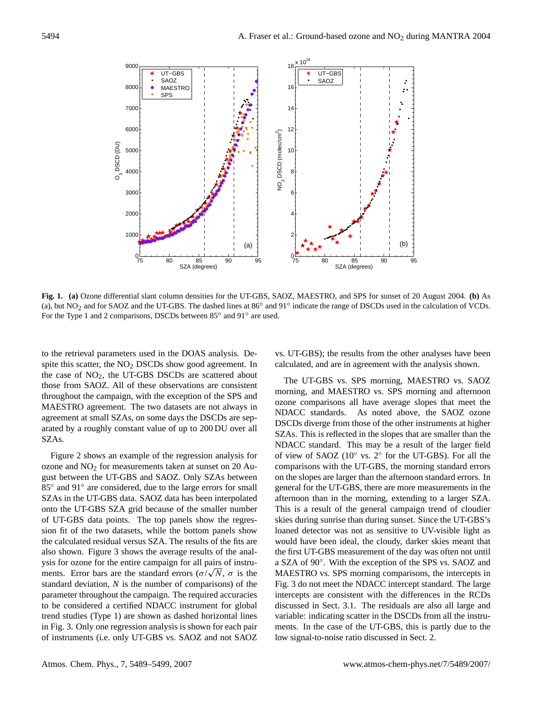

<span id="page-5-0"></span>**Fig. 1. (a)** Ozone differential slant column densities for the UT-GBS, SAOZ, MAESTRO, and SPS for sunset of 20 August 2004. **(b)** As (a), but NO<sub>2</sub> and for SAOZ and the UT-GBS. The dashed lines at 86° and 91° indicate the range of DSCDs used in the calculation of VCDs. For the Type 1 and 2 comparisons, DSCDs between 85° and 91° are used.

to the retrieval parameters used in the DOAS analysis. Despite this scatter, the NO<sub>2</sub> DSCDs show good agreement. In the case of  $NO<sub>2</sub>$ , the UT-GBS DSCDs are scattered about those from SAOZ. All of these observations are consistent throughout the campaign, with the exception of the SPS and MAESTRO agreement. The two datasets are not always in agreement at small SZAs, on some days the DSCDs are separated by a roughly constant value of up to 200 DU over all SZAs.

Figure [2](#page-6-0) shows an example of the regression analysis for ozone and  $NO<sub>2</sub>$  for measurements taken at sunset on 20 August between the UT-GBS and SAOZ. Only SZAs between 85° and 91° are considered, due to the large errors for small SZAs in the UT-GBS data. SAOZ data has been interpolated onto the UT-GBS SZA grid because of the smaller number of UT-GBS data points. The top panels show the regression fit of the two datasets, while the bottom panels show the calculated residual versus SZA. The results of the fits are also shown. Figure [3](#page-7-0) shows the average results of the analysis for ozone for the entire campaign for all pairs of instruments. Error bars are the standard errors  $(\sigma/\sqrt{N}, \sigma)$  is the standard deviation, *N* is the number of comparisons) of the parameter throughout the campaign. The required accuracies to be considered a certified NDACC instrument for global trend studies (Type 1) are shown as dashed horizontal lines in Fig. [3.](#page-7-0) Only one regression analysis is shown for each pair of instruments (i.e. only UT-GBS vs. SAOZ and not SAOZ vs. UT-GBS); the results from the other analyses have been calculated, and are in agreement with the analysis shown.

The UT-GBS vs. SPS morning, MAESTRO vs. SAOZ morning, and MAESTRO vs. SPS morning and afternoon ozone comparisons all have average slopes that meet the NDACC standards. As noted above, the SAOZ ozone DSCDs diverge from those of the other instruments at higher SZAs. This is reflected in the slopes that are smaller than the NDACC standard. This may be a result of the larger field of view of SAOZ (10◦ vs. 2◦ for the UT-GBS). For all the comparisons with the UT-GBS, the morning standard errors on the slopes are larger than the afternoon standard errors. In general for the UT-GBS, there are more measurements in the afternoon than in the morning, extending to a larger SZA. This is a result of the general campaign trend of cloudier skies during sunrise than during sunset. Since the UT-GBS's loaned detector was not as sensitive to UV-visible light as would have been ideal, the cloudy, darker skies meant that the first UT-GBS measurement of the day was often not until a SZA of 90◦ . With the exception of the SPS vs. SAOZ and MAESTRO vs. SPS morning comparisons, the intercepts in Fig. [3](#page-7-0) do not meet the NDACC intercept standard. The large intercepts are consistent with the differences in the RCDs discussed in Sect. [3.1.](#page-2-0) The residuals are also all large and variable: indicating scatter in the DSCDs from all the instruments. In the case of the UT-GBS, this is partly due to the low signal-to-noise ratio discussed in Sect. [2.](#page-1-0)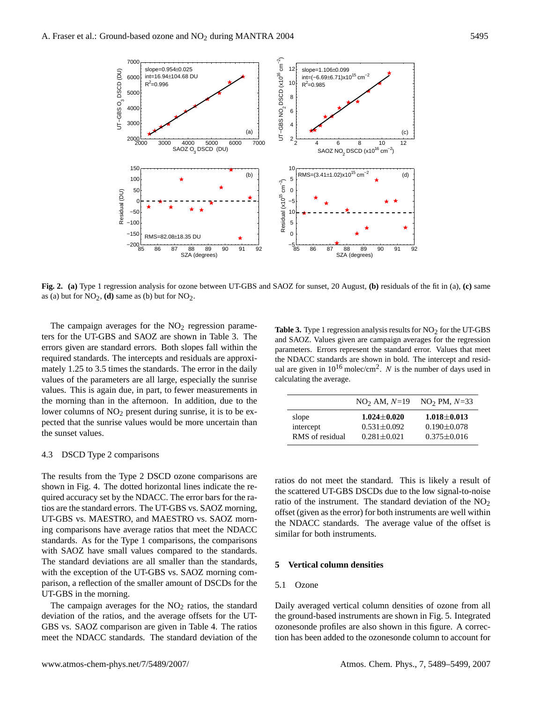slope=0.954±0.025

7000



12

 $\frac{-2}{\pi}$ 

<span id="page-6-0"></span>**Fig. 2. (a)** Type 1 regression analysis for ozone between UT-GBS and SAOZ for sunset, 20 August, **(b)** residuals of the fit in (a), **(c)** same as (a) but for  $NO_2$ , **(d)** same as (b) but for  $NO_2$ .

The campaign averages for the  $NO<sub>2</sub>$  regression parameters for the UT-GBS and SAOZ are shown in Table 3. The errors given are standard errors. Both slopes fall within the required standards. The intercepts and residuals are approximately 1.25 to 3.5 times the standards. The error in the daily values of the parameters are all large, especially the sunrise values. This is again due, in part, to fewer measurements in the morning than in the afternoon. In addition, due to the lower columns of  $NO<sub>2</sub>$  present during sunrise, it is to be expected that the sunrise values would be more uncertain than the sunset values.

# <span id="page-6-1"></span>4.3 DSCD Type 2 comparisons

The results from the Type 2 DSCD ozone comparisons are shown in Fig. [4.](#page-7-1) The dotted horizontal lines indicate the required accuracy set by the NDACC. The error bars for the ratios are the standard errors. The UT-GBS vs. SAOZ morning, UT-GBS vs. MAESTRO, and MAESTRO vs. SAOZ morning comparisons have average ratios that meet the NDACC standards. As for the Type 1 comparisons, the comparisons with SAOZ have small values compared to the standards. The standard deviations are all smaller than the standards, with the exception of the UT-GBS vs. SAOZ morning comparison, a reflection of the smaller amount of DSCDs for the UT-GBS in the morning.

The campaign averages for the  $NO<sub>2</sub>$  ratios, the standard deviation of the ratios, and the average offsets for the UT-GBS vs. SAOZ comparison are given in Table 4. The ratios meet the NDACC standards. The standard deviation of the

Table 3. Type 1 regression analysis results for NO<sub>2</sub> for the UT-GBS and SAOZ. Values given are campaign averages for the regression parameters. Errors represent the standard error. Values that meet the NDACC standards are shown in bold. The intercept and residual are given in  $10^{16}$  molec/cm<sup>2</sup>. N is the number of days used in calculating the average.

|                 | $NO2 AM, N=19$    | $NO2 PM, N=33$    |
|-----------------|-------------------|-------------------|
| slope           | $1.024 \pm 0.020$ | $1.018 + 0.013$   |
| intercept       | $0.531 \pm 0.092$ | $0.190 \pm 0.078$ |
| RMS of residual | $0.281 \pm 0.021$ | $0.375 \pm 0.016$ |

ratios do not meet the standard. This is likely a result of the scattered UT-GBS DSCDs due to the low signal-to-noise ratio of the instrument. The standard deviation of the  $NO<sub>2</sub>$ offset (given as the error) for both instruments are well within the NDACC standards. The average value of the offset is similar for both instruments.

# **5 Vertical column densities**

#### 5.1 Ozone

Daily averaged vertical column densities of ozone from all the ground-based instruments are shown in Fig. [5.](#page-8-0) Integrated ozonesonde profiles are also shown in this figure. A correction has been added to the ozonesonde column to account for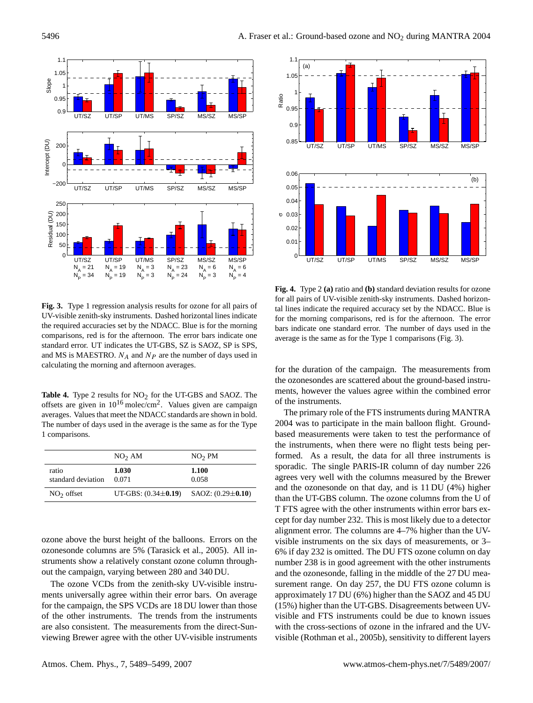

<span id="page-7-0"></span>**Fig. 3.** Type 1 regression analysis results for ozone for all pairs of UV-visible zenith-sky instruments. Dashed horizontal lines indicate the required accuracies set by the NDACC. Blue is for the morning comparisons, red is for the afternoon. The error bars indicate one standard error. UT indicates the UT-GBS, SZ is SAOZ, SP is SPS, and MS is MAESTRO.  $N_A$  and  $N_P$  are the number of days used in calculating the morning and afternoon averages.

Table 4. Type 2 results for NO<sub>2</sub> for the UT-GBS and SAOZ. The offsets are given in  $10^{16}$  molec/cm<sup>2</sup>. Values given are campaign averages. Values that meet the NDACC standards are shown in bold. The number of days used in the average is the same as for the Type 1 comparisons.

|                             | NO <sub>2</sub> AM        | NO <sub>2</sub> PM      |
|-----------------------------|---------------------------|-------------------------|
| ratio<br>standard deviation | 1.030<br>0.071            | 1.100<br>0.058          |
| $NO2$ offset                | UT-GBS: $(0.34 \pm 0.19)$ | SAOZ: $(0.29 \pm 0.10)$ |

ozone above the burst height of the balloons. Errors on the ozonesonde columns are 5% [\(Tarasick et al.,](#page-10-23) [2005\)](#page-10-23). All instruments show a relatively constant ozone column throughout the campaign, varying between 280 and 340 DU.

The ozone VCDs from the zenith-sky UV-visible instruments universally agree within their error bars. On average for the campaign, the SPS VCDs are 18 DU lower than those of the other instruments. The trends from the instruments are also consistent. The measurements from the direct-Sunviewing Brewer agree with the other UV-visible instruments



<span id="page-7-1"></span>**Fig. 4.** Type 2 **(a)** ratio and **(b)** standard deviation results for ozone for all pairs of UV-visible zenith-sky instruments. Dashed horizontal lines indicate the required accuracy set by the NDACC. Blue is for the morning comparisons, red is for the afternoon. The error bars indicate one standard error. The number of days used in the average is the same as for the Type 1 comparisons (Fig. [3\)](#page-7-0).

for the duration of the campaign. The measurements from the ozonesondes are scattered about the ground-based instruments, however the values agree within the combined error of the instruments.

The primary role of the FTS instruments during MANTRA 2004 was to participate in the main balloon flight. Groundbased measurements were taken to test the performance of the instruments, when there were no flight tests being performed. As a result, the data for all three instruments is sporadic. The single PARIS-IR column of day number 226 agrees very well with the columns measured by the Brewer and the ozonesonde on that day, and is 11 DU (4%) higher than the UT-GBS column. The ozone columns from the U of T FTS agree with the other instruments within error bars except for day number 232. This is most likely due to a detector alignment error. The columns are 4–7% higher than the UVvisible instruments on the six days of measurements, or 3– 6% if day 232 is omitted. The DU FTS ozone column on day number 238 is in good agreement with the other instruments and the ozonesonde, falling in the middle of the 27 DU measurement range. On day 257, the DU FTS ozone column is approximately 17 DU (6%) higher than the SAOZ and 45 DU (15%) higher than the UT-GBS. Disagreements between UVvisible and FTS instruments could be due to known issues with the cross-sections of ozone in the infrared and the UVvisible [\(Rothman et al.,](#page-10-24) [2005b\)](#page-10-24), sensitivity to different layers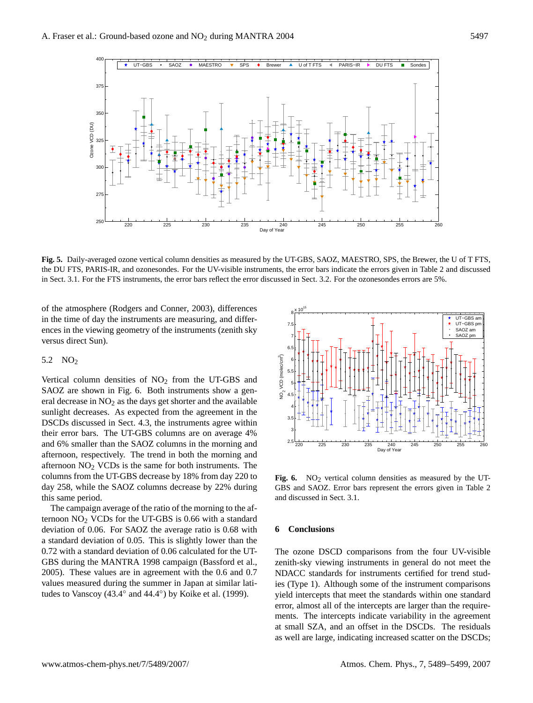

<span id="page-8-0"></span>**Fig. 5.** Daily-averaged ozone vertical column densities as measured by the UT-GBS, SAOZ, MAESTRO, SPS, the Brewer, the U of T FTS, the DU FTS, PARIS-IR, and ozonesondes. For the UV-visible instruments, the error bars indicate the errors given in Table 2 and discussed in Sect. 3.1. For the FTS instruments, the error bars reflect the error discussed in Sect. 3.2. For the ozonesondes errors are 5%.

of the atmosphere [\(Rodgers and Conner,](#page-10-25) [2003\)](#page-10-25), differences in the time of day the instruments are measuring, and differences in the viewing geometry of the instruments (zenith sky versus direct Sun).

#### 5.2  $NO<sub>2</sub>$

Vertical column densities of  $NO<sub>2</sub>$  from the UT-GBS and SAOZ are shown in Fig. [6.](#page-8-1) Both instruments show a general decrease in  $NO<sub>2</sub>$  as the days get shorter and the available sunlight decreases. As expected from the agreement in the DSCDs discussed in Sect. [4.3,](#page-6-1) the instruments agree within their error bars. The UT-GBS columns are on average 4% and 6% smaller than the SAOZ columns in the morning and afternoon, respectively. The trend in both the morning and afternoon  $NO<sub>2</sub> VCDs$  is the same for both instruments. The columns from the UT-GBS decrease by 18% from day 220 to day 258, while the SAOZ columns decrease by 22% during this same period.

The campaign average of the ratio of the morning to the afternoon  $NO<sub>2</sub> VCDs$  for the UT-GBS is 0.66 with a standard deviation of 0.06. For SAOZ the average ratio is 0.68 with a standard deviation of 0.05. This is slightly lower than the 0.72 with a standard deviation of 0.06 calculated for the UT-GBS during the MANTRA 1998 campaign [\(Bassford et al.,](#page-9-3) [2005\)](#page-9-3). These values are in agreement with the 0.6 and 0.7 values measured during the summer in Japan at similar latitudes to Vanscoy (43.4 $\degree$  and 44.4 $\degree$ ) by [Koike et al.](#page-10-26) [\(1999\)](#page-10-26).



<span id="page-8-1"></span>**Fig. 6.** NO<sub>2</sub> vertical column densities as measured by the UT-GBS and SAOZ. Error bars represent the errors given in Table 2 and discussed in Sect. 3.1.

## **6 Conclusions**

The ozone DSCD comparisons from the four UV-visible zenith-sky viewing instruments in general do not meet the NDACC standards for instruments certified for trend studies (Type 1). Although some of the instrument comparisons yield intercepts that meet the standards within one standard error, almost all of the intercepts are larger than the requirements. The intercepts indicate variability in the agreement at small SZA, and an offset in the DSCDs. The residuals as well are large, indicating increased scatter on the DSCDs;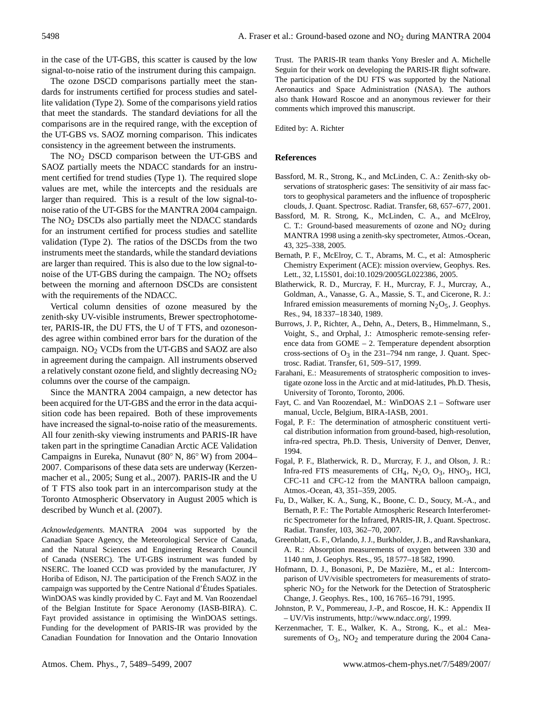in the case of the UT-GBS, this scatter is caused by the low signal-to-noise ratio of the instrument during this campaign.

The ozone DSCD comparisons partially meet the standards for instruments certified for process studies and satellite validation (Type 2). Some of the comparisons yield ratios that meet the standards. The standard deviations for all the comparisons are in the required range, with the exception of the UT-GBS vs. SAOZ morning comparison. This indicates consistency in the agreement between the instruments.

The  $NO<sub>2</sub>$  DSCD comparison between the UT-GBS and SAOZ partially meets the NDACC standards for an instrument certified for trend studies (Type 1). The required slope values are met, while the intercepts and the residuals are larger than required. This is a result of the low signal-tonoise ratio of the UT-GBS for the MANTRA 2004 campaign. The NO<sub>2</sub> DSCDs also partially meet the NDACC standards for an instrument certified for process studies and satellite validation (Type 2). The ratios of the DSCDs from the two instruments meet the standards, while the standard deviations are larger than required. This is also due to the low signal-tonoise of the UT-GBS during the campaign. The NO<sub>2</sub> offsets between the morning and afternoon DSCDs are consistent with the requirements of the NDACC.

Vertical column densities of ozone measured by the zenith-sky UV-visible instruments, Brewer spectrophotometer, PARIS-IR, the DU FTS, the U of T FTS, and ozonesondes agree within combined error bars for the duration of the campaign. NO<sup>2</sup> VCDs from the UT-GBS and SAOZ are also in agreement during the campaign. All instruments observed a relatively constant ozone field, and slightly decreasing  $NO<sub>2</sub>$ columns over the course of the campaign.

Since the MANTRA 2004 campaign, a new detector has been acquired for the UT-GBS and the error in the data acquisition code has been repaired. Both of these improvements have increased the signal-to-noise ratio of the measurements. All four zenith-sky viewing instruments and PARIS-IR have taken part in the springtime Canadian Arctic ACE Validation Campaigns in Eureka, Nunavut (80◦ N, 86◦ W) from 2004– 2007. Comparisons of these data sets are underway [\(Kerzen](#page-9-13)[macher et al.,](#page-9-13) [2005;](#page-9-13) [Sung et al.,](#page-10-27) [2007\)](#page-10-27). PARIS-IR and the U of T FTS also took part in an intercomparison study at the Toronto Atmospheric Observatory in August 2005 which is described by [Wunch et al.](#page-10-28) [\(2007\)](#page-10-28).

*Acknowledgements.* MANTRA 2004 was supported by the Canadian Space Agency, the Meteorological Service of Canada, and the Natural Sciences and Engineering Research Council of Canada (NSERC). The UT-GBS instrument was funded by NSERC. The loaned CCD was provided by the manufacturer, JY Horiba of Edison, NJ. The participation of the French SAOZ in the campaign was supported by the Centre National d'Etudes Spatiales. ´ WinDOAS was kindly provided by C. Fayt and M. Van Roozendael of the Belgian Institute for Space Aeronomy (IASB-BIRA). C. Fayt provided assistance in optimising the WinDOAS settings. Funding for the development of PARIS-IR was provided by the Canadian Foundation for Innovation and the Ontario Innovation Trust. The PARIS-IR team thanks Yony Bresler and A. Michelle Seguin for their work on developing the PARIS-IR flight software. The participation of the DU FTS was supported by the National Aeronautics and Space Administration (NASA). The authors also thank Howard Roscoe and an anonymous reviewer for their comments which improved this manuscript.

Edited by: A. Richter

# **References**

- <span id="page-9-2"></span>Bassford, M. R., Strong, K., and McLinden, C. A.: Zenith-sky observations of stratospheric gases: The sensitivity of air mass factors to geophysical parameters and the influence of tropospheric clouds, J. Quant. Spectrosc. Radiat. Transfer, 68, 657–677, 2001.
- <span id="page-9-3"></span>Bassford, M. R. Strong, K., McLinden, C. A., and McElroy, C. T.: Ground-based measurements of ozone and  $NO<sub>2</sub>$  during MANTRA 1998 using a zenith-sky spectrometer, Atmos.-Ocean, 43, 325–338, 2005.
- <span id="page-9-5"></span>Bernath, P. F., McElroy, C. T., Abrams, M. C., et al: Atmospheric Chemistry Experiment (ACE): mission overview, Geophys. Res. Lett., 32, L15S01, doi:10.1029/2005GL022386, 2005.
- <span id="page-9-11"></span>Blatherwick, R. D., Murcray, F. H., Murcray, F. J., Murcray, A., Goldman, A., Vanasse, G. A., Massie, S. T., and Cicerone, R. J.: Infrared emission measurements of morning  $N<sub>2</sub>O<sub>5</sub>$ , J. Geophys. Res., 94, 18 337–18 340, 1989.
- <span id="page-9-8"></span>Burrows, J. P., Richter, A., Dehn, A., Deters, B., Himmelmann, S., Voight, S., and Orphal, J.: Atmospheric remote-sensing reference data from GOME – 2. Temperature dependent absorption cross-sections of  $O_3$  in the 231–794 nm range, J. Quant. Spectrosc. Radiat. Transfer, 61, 509–517, 1999.
- <span id="page-9-4"></span>Farahani, E.: Measurements of stratospheric composition to investigate ozone loss in the Arctic and at mid-latitudes, Ph.D. Thesis, University of Toronto, Toronto, 2006.
- <span id="page-9-10"></span>Fayt, C. and Van Roozendael, M.: WinDOAS 2.1 – Software user manual, Uccle, Belgium, BIRA-IASB, 2001.
- <span id="page-9-12"></span>Fogal, P. F.: The determination of atmospheric constituent vertical distribution information from ground-based, high-resolution, infra-red spectra, Ph.D. Thesis, University of Denver, Denver, 1994.
- <span id="page-9-7"></span>Fogal, P. F., Blatherwick, R. D., Murcray, F. J., and Olson, J. R.: Infra-red FTS measurements of CH<sub>4</sub>, N<sub>2</sub>O, O<sub>3</sub>, HNO<sub>3</sub>, HCl, CFC-11 and CFC-12 from the MANTRA balloon campaign, Atmos.-Ocean, 43, 351–359, 2005.
- <span id="page-9-6"></span>Fu, D., Walker, K. A., Sung, K., Boone, C. D., Soucy, M.-A., and Bernath, P. F.: The Portable Atmospheric Research Interferometric Spectrometer for the Infrared, PARIS-IR, J. Quant. Spectrosc. Radiat. Transfer, 103, 362–70, 2007.
- <span id="page-9-9"></span>Greenblatt, G. F., Orlando, J. J., Burkholder, J. B., and Ravshankara, A. R.: Absorption measurements of oxygen between 330 and 1140 nm, J. Geophys. Res., 95, 18 577–18 582, 1990.
- <span id="page-9-0"></span>Hofmann, D. J., Bonasoni, P., De Mazière, M., et al.: Intercomparison of UV/visible spectrometers for measurements of stratospheric  $NO<sub>2</sub>$  for the Network for the Detection of Stratospheric Change, J. Geophys. Res., 100, 16 765–16 791, 1995.
- <span id="page-9-1"></span>Johnston, P. V., Pommereau, J.-P., and Roscoe, H. K.: Appendix II – UV/Vis instruments, [http://www.ndacc.org/,](http://www.ndacc.org/) 1999.
- <span id="page-9-13"></span>Kerzenmacher, T. E., Walker, K. A., Strong, K., et al.: Measurements of  $O_3$ ,  $NO_2$  and temperature during the 2004 Cana-